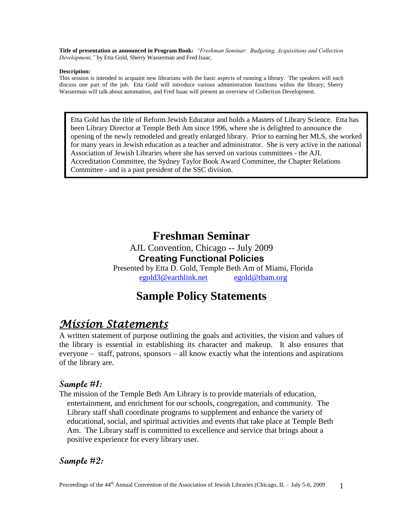**Title of presentation as announced in Program Book:** *"Freshman Seminar: Budgeting, Acquisitions and Collection Development,"* by Etta Gold, Sherry Wasserman and Fred Isaac.

#### **Description:**

This session is intended to acquaint new librarians with the basic aspects of running a library. The speakers will each discuss one part of the job. Etta Gold will introduce various administration functions within the library; Sherry Wasserman will talk about automation, and Fred Isaac will present an overview of Collection Development.

Etta Gold has the title of Reform Jewish Educator and holds a Masters of Library Science. Etta has been Library Director at Temple Beth Am since 1996, where she is delighted to announce the opening of the newly remodeled and greatly enlarged library. Prior to earning her MLS, she worked for many years in Jewish education as a teacher and administrator. She is very active in the national Association of Jewish Libraries where she has served on various committees - the AJL Accreditation Committee, the Sydney Taylor Book Award Committee, the Chapter Relations Committee - and is a past president of the SSC division.

# **Freshman Seminar**

AJL Convention, Chicago -- July 2009 **Creating Functional Policies** Presented by Etta D. Gold, Temple Beth Am of Miami, Florida [egold3@earthlink.net](mailto:egold@shadow.net) [egold@tbam.org](mailto:egold@tbam.org)

# **Sample Policy Statements**

# *Mission Statements*

A written statement of purpose outlining the goals and activities, the vision and values of the library is essential in establishing its character and makeup. It also ensures that everyone – staff, patrons, sponsors – all know exactly what the intentions and aspirations of the library are.

## **Sample #1:**

The mission of the Temple Beth Am Library is to provide materials of education, entertainment, and enrichment for our schools, congregation, and community. The Library staff shall coordinate programs to supplement and enhance the variety of educational, social, and spiritual activities and events that take place at Temple Beth Am. The Library staff is committed to excellence and service that brings about a positive experience for every library user.

### **Sample #2:**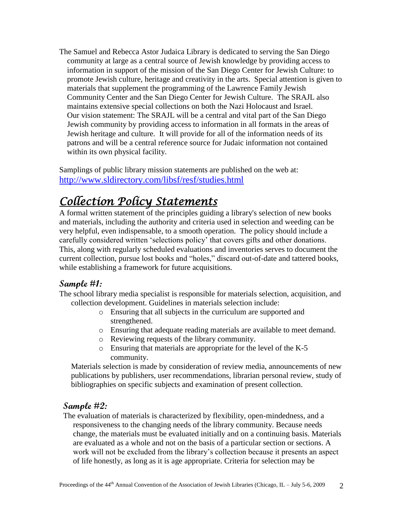The Samuel and Rebecca Astor Judaica Library is dedicated to serving the San Diego community at large as a central source of Jewish knowledge by providing access to information in support of the mission of the San Diego Center for Jewish Culture: to promote Jewish culture, heritage and creativity in the arts. Special attention is given to materials that supplement the programming of the Lawrence Family Jewish Community Center and the San Diego Center for Jewish Culture. The SRAJL also maintains extensive special collections on both the Nazi Holocaust and Israel. Our vision statement: The SRAJL will be a central and vital part of the San Diego Jewish community by providing access to information in all formats in the areas of Jewish heritage and culture. It will provide for all of the information needs of its patrons and will be a central reference source for Judaic information not contained within its own physical facility.

Samplings of public library mission statements are published on the web at: <http://www.sldirectory.com/libsf/resf/studies.html>

# *Collection Policy Statements*

A formal written statement of the principles guiding a library's selection of new books and materials, including the authority and criteria used in selection and weeding can be very helpful, even indispensable, to a smooth operation. The policy should include a carefully considered written "selections policy" that covers gifts and other donations. This, along with regularly scheduled evaluations and inventories serves to document the current collection, pursue lost books and "holes," discard out-of-date and tattered books, while establishing a framework for future acquisitions.

## **Sample #1:**

The school library media specialist is responsible for materials selection, acquisition, and collection development. Guidelines in materials selection include:

- o Ensuring that all subjects in the curriculum are supported and strengthened.
- o Ensuring that adequate reading materials are available to meet demand.
- o Reviewing requests of the library community.
- o Ensuring that materials are appropriate for the level of the K-5 community.

 Materials selection is made by consideration of review media, announcements of new publications by publishers, user recommendations, librarian personal review, study of bibliographies on specific subjects and examination of present collection.

## **Sample #2:**

The evaluation of materials is characterized by flexibility, open-mindedness, and a responsiveness to the changing needs of the library community. Because needs change, the materials must be evaluated initially and on a continuing basis. Materials are evaluated as a whole and not on the basis of a particular section or sections. A work will not be excluded from the library"s collection because it presents an aspect of life honestly, as long as it is age appropriate. Criteria for selection may be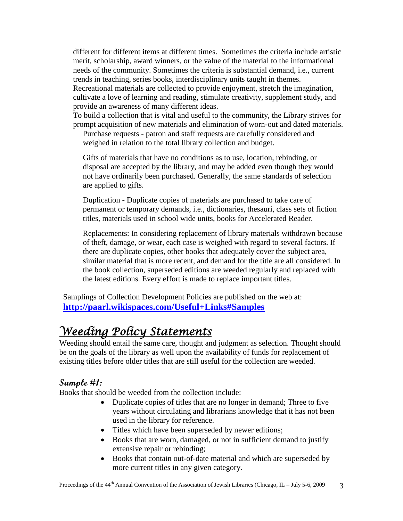different for different items at different times. Sometimes the criteria include artistic merit, scholarship, award winners, or the value of the material to the informational needs of the community. Sometimes the criteria is substantial demand, i.e., current trends in teaching, series books, interdisciplinary units taught in themes.

 Recreational materials are collected to provide enjoyment, stretch the imagination, cultivate a love of learning and reading, stimulate creativity, supplement study, and provide an awareness of many different ideas.

 To build a collection that is vital and useful to the community, the Library strives for prompt acquisition of new materials and elimination of worn-out and dated materials.

 Purchase requests - patron and staff requests are carefully considered and weighed in relation to the total library collection and budget.

 Gifts of materials that have no conditions as to use, location, rebinding, or disposal are accepted by the library, and may be added even though they would not have ordinarily been purchased. Generally, the same standards of selection are applied to gifts.

 Duplication - Duplicate copies of materials are purchased to take care of permanent or temporary demands, i.e., dictionaries, thesauri, class sets of fiction titles, materials used in school wide units, books for Accelerated Reader.

 Replacements: In considering replacement of library materials withdrawn because of theft, damage, or wear, each case is weighed with regard to several factors. If there are duplicate copies, other books that adequately cover the subject area, similar material that is more recent, and demand for the title are all considered. In the book collection, superseded editions are weeded regularly and replaced with the latest editions. Every effort is made to replace important titles.

Samplings of Collection Development Policies are published on the web at: **<http://paarl.wikispaces.com/Useful+Links#Samples>**

# *Weeding Policy Statements*

Weeding should entail the same care, thought and judgment as selection. Thought should be on the goals of the library as well upon the availability of funds for replacement of existing titles before older titles that are still useful for the collection are weeded.

## **Sample #1:**

Books that should be weeded from the collection include:

- Duplicate copies of titles that are no longer in demand; Three to five years without circulating and librarians knowledge that it has not been used in the library for reference.
- Titles which have been superseded by newer editions;
- Books that are worn, damaged, or not in sufficient demand to justify extensive repair or rebinding;
- Books that contain out-of-date material and which are superseded by more current titles in any given category.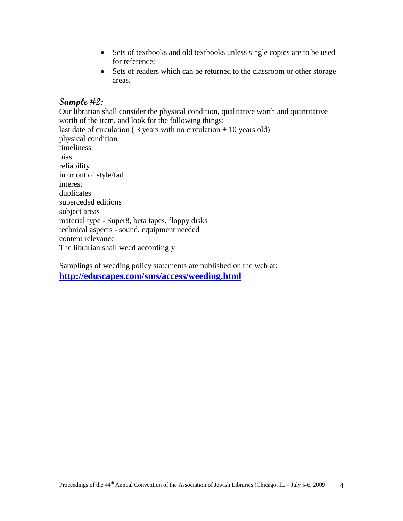- Sets of textbooks and old textbooks unless single copies are to be used for reference;
- Sets of readers which can be returned to the classroom or other storage areas.

## **Sample #2:**

Our librarian shall consider the physical condition, qualitative worth and quantitative worth of the item, and look for the following things: last date of circulation ( $3$  years with no circulation  $+10$  years old) physical condition timeliness bias reliability in or out of style/fad interest duplicates superceded editions subject areas material type - Super8, beta tapes, floppy disks technical aspects - sound, equipment needed content relevance The librarian shall weed accordingly

Samplings of weeding policy statements are published on the web at: **<http://eduscapes.com/sms/access/weeding.html>**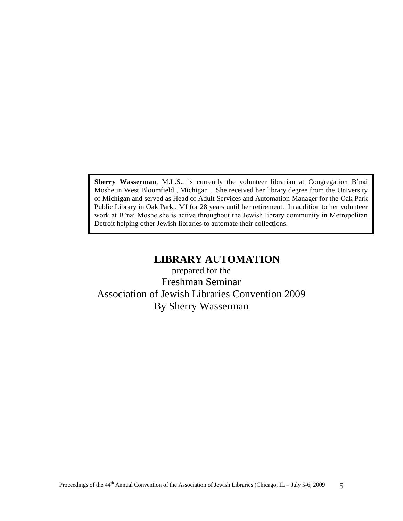**Sherry Wasserman**, M.L.S., is currently the volunteer librarian at Congregation B"nai Moshe in West Bloomfield , Michigan . She received her library degree from the University of Michigan and served as Head of Adult Services and Automation Manager for the Oak Park Public Library in Oak Park , MI for 28 years until her retirement. In addition to her volunteer work at B'nai Moshe she is active throughout the Jewish library community in Metropolitan Detroit helping other Jewish libraries to automate their collections.

## **LIBRARY AUTOMATION**

prepared for the Freshman Seminar Association of Jewish Libraries Convention 2009 By Sherry Wasserman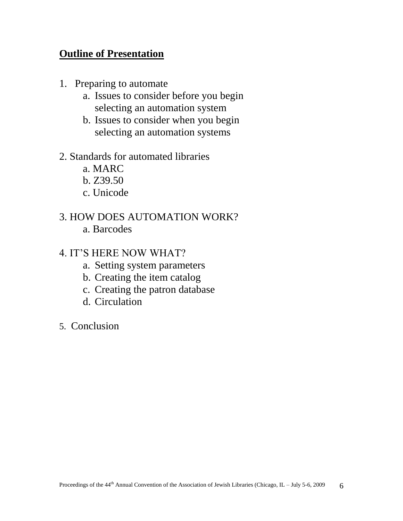## **Outline of Presentation**

- 1. Preparing to automate
	- a. Issues to consider before you begin selecting an automation system
	- b. Issues to consider when you begin selecting an automation systems
- 2. Standards for automated libraries
	- a. MARC
	- b. Z39.50
	- c. Unicode
- 3. HOW DOES AUTOMATION WORK?
	- a. Barcodes
- 4. IT"S HERE NOW WHAT?
	- a. Setting system parameters
	- b. Creating the item catalog
	- c. Creating the patron database
	- d. Circulation
- 5. Conclusion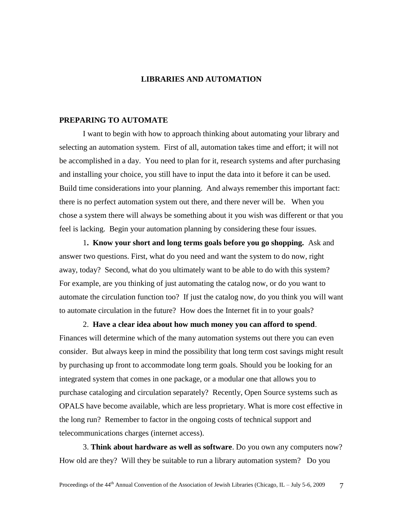#### **LIBRARIES AND AUTOMATION**

#### **PREPARING TO AUTOMATE**

I want to begin with how to approach thinking about automating your library and selecting an automation system. First of all, automation takes time and effort; it will not be accomplished in a day. You need to plan for it, research systems and after purchasing and installing your choice, you still have to input the data into it before it can be used. Build time considerations into your planning. And always remember this important fact: there is no perfect automation system out there, and there never will be. When you chose a system there will always be something about it you wish was different or that you feel is lacking. Begin your automation planning by considering these four issues.

1**. Know your short and long terms goals before you go shopping.** Ask and answer two questions. First, what do you need and want the system to do now, right away, today? Second, what do you ultimately want to be able to do with this system? For example, are you thinking of just automating the catalog now, or do you want to automate the circulation function too? If just the catalog now, do you think you will want to automate circulation in the future? How does the Internet fit in to your goals?

2. **Have a clear idea about how much money you can afford to spend**. Finances will determine which of the many automation systems out there you can even consider. But always keep in mind the possibility that long term cost savings might result by purchasing up front to accommodate long term goals. Should you be looking for an integrated system that comes in one package, or a modular one that allows you to purchase cataloging and circulation separately? Recently, Open Source systems such as OPALS have become available, which are less proprietary. What is more cost effective in the long run? Remember to factor in the ongoing costs of technical support and telecommunications charges (internet access).

3. **Think about hardware as well as software**. Do you own any computers now? How old are they? Will they be suitable to run a library automation system? Do you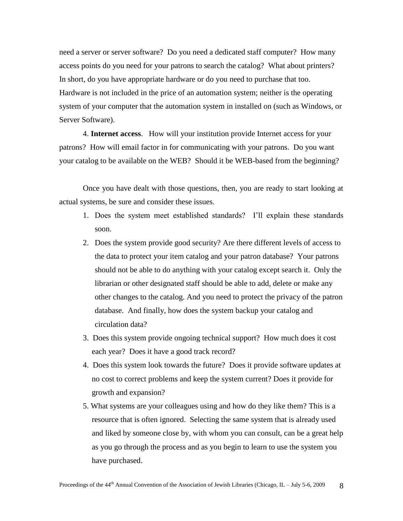need a server or server software? Do you need a dedicated staff computer? How many access points do you need for your patrons to search the catalog? What about printers? In short, do you have appropriate hardware or do you need to purchase that too. Hardware is not included in the price of an automation system; neither is the operating system of your computer that the automation system in installed on (such as Windows, or Server Software).

4. **Internet access**. How will your institution provide Internet access for your patrons? How will email factor in for communicating with your patrons. Do you want your catalog to be available on the WEB? Should it be WEB-based from the beginning?

Once you have dealt with those questions, then, you are ready to start looking at actual systems, be sure and consider these issues.

- 1. Does the system meet established standards? I"ll explain these standards soon.
- 2. Does the system provide good security? Are there different levels of access to the data to protect your item catalog and your patron database? Your patrons should not be able to do anything with your catalog except search it. Only the librarian or other designated staff should be able to add, delete or make any other changes to the catalog. And you need to protect the privacy of the patron database. And finally, how does the system backup your catalog and circulation data?
- 3. Does this system provide ongoing technical support? How much does it cost each year? Does it have a good track record?
- 4. Does this system look towards the future? Does it provide software updates at no cost to correct problems and keep the system current? Does it provide for growth and expansion?
- 5. What systems are your colleagues using and how do they like them? This is a resource that is often ignored. Selecting the same system that is already used and liked by someone close by, with whom you can consult, can be a great help as you go through the process and as you begin to learn to use the system you have purchased.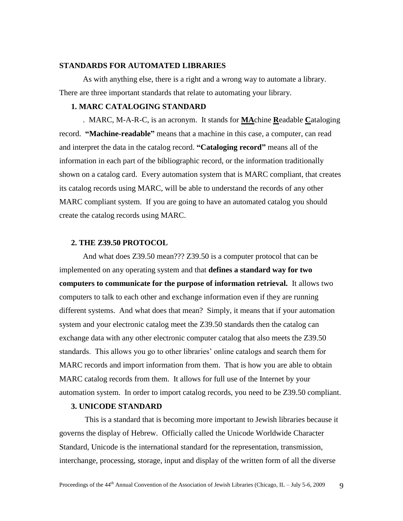#### **STANDARDS FOR AUTOMATED LIBRARIES**

As with anything else, there is a right and a wrong way to automate a library. There are three important standards that relate to automating your library.

#### **1. MARC CATALOGING STANDARD**

. MARC, M-A-R-C, is an acronym. It stands for **MA**chine **R**eadable **C**ataloging record. **"Machine-readable"** means that a machine in this case, a computer, can read and interpret the data in the catalog record. **"Cataloging record"** means all of the information in each part of the bibliographic record, or the information traditionally shown on a catalog card. Every automation system that is MARC compliant, that creates its catalog records using MARC, will be able to understand the records of any other MARC compliant system. If you are going to have an automated catalog you should create the catalog records using MARC.

#### **2. THE Z39.50 PROTOCOL**

And what does Z39.50 mean??? Z39.50 is a computer protocol that can be implemented on any operating system and that **defines a standard way for two computers to communicate for the purpose of information retrieval.** It allows two computers to talk to each other and exchange information even if they are running different systems.And what does that mean? Simply, it means that if your automation system and your electronic catalog meet the Z39.50 standards then the catalog can exchange data with any other electronic computer catalog that also meets the Z39.50 standards. This allows you go to other libraries" online catalogs and search them for MARC records and import information from them. That is how you are able to obtain MARC catalog records from them. It allows for full use of the Internet by your automation system. In order to import catalog records, you need to be Z39.50 compliant.

#### **3. UNICODE STANDARD**

This is a standard that is becoming more important to Jewish libraries because it governs the display of Hebrew.Officially called the Unicode Worldwide Character Standard, Unicode is the international standard for the representation, transmission, interchange, processing, storage, input and display of the written form of all the diverse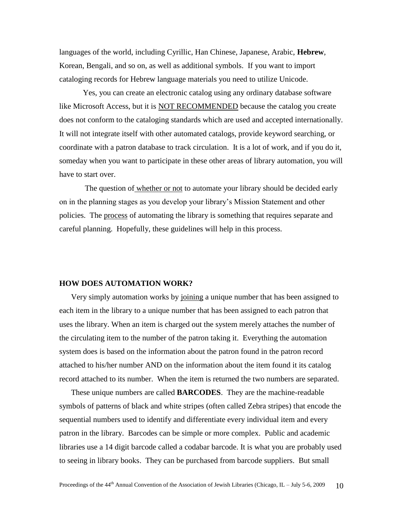languages of the world, including Cyrillic, Han Chinese, Japanese, Arabic, **Hebrew**, Korean, Bengali, and so on, as well as additional symbols. If you want to import cataloging records for Hebrew language materials you need to utilize Unicode.

Yes, you can create an electronic catalog using any ordinary database software like Microsoft Access, but it is **NOT RECOMMENDED** because the catalog you create does not conform to the cataloging standards which are used and accepted internationally. It will not integrate itself with other automated catalogs, provide keyword searching, or coordinate with a patron database to track circulation. It is a lot of work, and if you do it, someday when you want to participate in these other areas of library automation, you will have to start over.

The question of whether or not to automate your library should be decided early on in the planning stages as you develop your library"s Mission Statement and other policies. The process of automating the library is something that requires separate and careful planning. Hopefully, these guidelines will help in this process.

#### **HOW DOES AUTOMATION WORK?**

Very simply automation works by joining a unique number that has been assigned to each item in the library to a unique number that has been assigned to each patron that uses the library. When an item is charged out the system merely attaches the number of the circulating item to the number of the patron taking it. Everything the automation system does is based on the information about the patron found in the patron record attached to his/her number AND on the information about the item found it its catalog record attached to its number. When the item is returned the two numbers are separated.

These unique numbers are called **BARCODES**. They are the machine-readable symbols of patterns of black and white stripes (often called Zebra stripes) that encode the sequential numbers used to identify and differentiate every individual item and every patron in the library. Barcodes can be simple or more complex. Public and academic libraries use a 14 digit barcode called a codabar barcode. It is what you are probably used to seeing in library books. They can be purchased from barcode suppliers. But small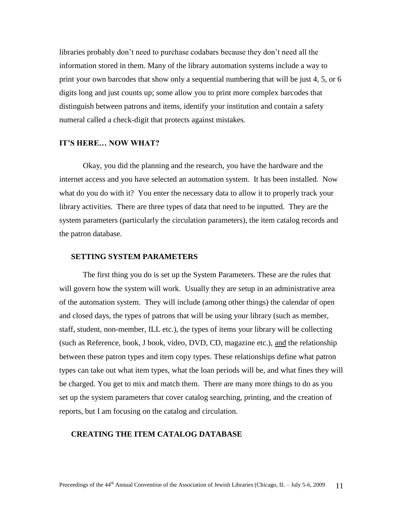libraries probably don"t need to purchase codabars because they don"t need all the information stored in them. Many of the library automation systems include a way to print your own barcodes that show only a sequential numbering that will be just 4, 5, or 6 digits long and just counts up; some allow you to print more complex barcodes that distinguish between patrons and items, identify your institution and contain a safety numeral called a check-digit that protects against mistakes.

#### **IT'S HERE… NOW WHAT?**

Okay, you did the planning and the research, you have the hardware and the internet access and you have selected an automation system. It has been installed. Now what do you do with it? You enter the necessary data to allow it to properly track your library activities. There are three types of data that need to be inputted. They are the system parameters (particularly the circulation parameters), the item catalog records and the patron database.

#### **SETTING SYSTEM PARAMETERS**

The first thing you do is set up the System Parameters. These are the rules that will govern how the system will work. Usually they are setup in an administrative area of the automation system. They will include (among other things) the calendar of open and closed days, the types of patrons that will be using your library (such as member, staff, student, non-member, ILL etc.), the types of items your library will be collecting (such as Reference, book, J book, video, DVD, CD, magazine etc.), and the relationship between these patron types and item copy types. These relationships define what patron types can take out what item types, what the loan periods will be, and what fines they will be charged. You get to mix and match them. There are many more things to do as you set up the system parameters that cover catalog searching, printing, and the creation of reports, but I am focusing on the catalog and circulation.

#### **CREATING THE ITEM CATALOG DATABASE**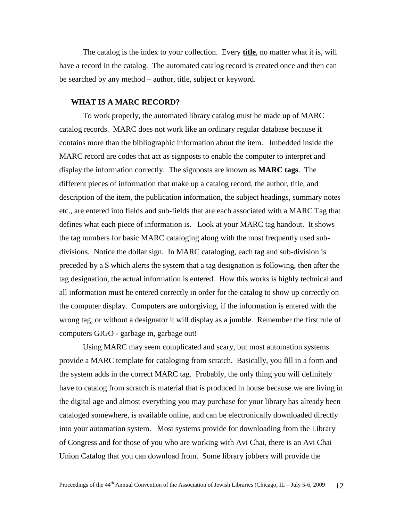The catalog is the index to your collection. Every **title**, no matter what it is, will have a record in the catalog. The automated catalog record is created once and then can be searched by any method – author, title, subject or keyword.

#### **WHAT IS A MARC RECORD?**

To work properly, the automated library catalog must be made up of MARC catalog records. MARC does not work like an ordinary regular database because it contains more than the bibliographic information about the item. Imbedded inside the MARC record are codes that act as signposts to enable the computer to interpret and display the information correctly. The signposts are known as **MARC tags**. The different pieces of information that make up a catalog record, the author, title, and description of the item, the publication information, the subject headings, summary notes etc., are entered into fields and sub-fields that are each associated with a MARC Tag that defines what each piece of information is. Look at your MARC tag handout. It shows the tag numbers for basic MARC cataloging along with the most frequently used subdivisions. Notice the dollar sign. In MARC cataloging, each tag and sub-division is preceded by a \$ which alerts the system that a tag designation is following, then after the tag designation, the actual information is entered. How this works is highly technical and all information must be entered correctly in order for the catalog to show up correctly on the computer display. Computers are unforgiving, if the information is entered with the wrong tag, or without a designator it will display as a jumble. Remember the first rule of computers GIGO - garbage in, garbage out!

Using MARC may seem complicated and scary, but most automation systems provide a MARC template for cataloging from scratch. Basically, you fill in a form and the system adds in the correct MARC tag. Probably, the only thing you will definitely have to catalog from scratch is material that is produced in house because we are living in the digital age and almost everything you may purchase for your library has already been cataloged somewhere, is available online, and can be electronically downloaded directly into your automation system. Most systems provide for downloading from the Library of Congress and for those of you who are working with Avi Chai, there is an Avi Chai Union Catalog that you can download from. Some library jobbers will provide the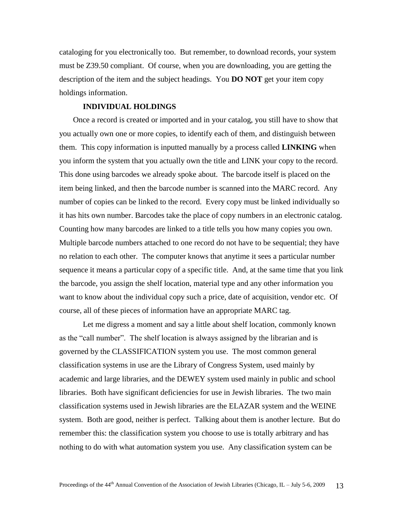cataloging for you electronically too. But remember, to download records, your system must be Z39.50 compliant. Of course, when you are downloading, you are getting the description of the item and the subject headings. You **DO NOT** get your item copy holdings information.

#### **INDIVIDUAL HOLDINGS**

Once a record is created or imported and in your catalog, you still have to show that you actually own one or more copies, to identify each of them, and distinguish between them. This copy information is inputted manually by a process called **LINKING** when you inform the system that you actually own the title and LINK your copy to the record. This done using barcodes we already spoke about. The barcode itself is placed on the item being linked, and then the barcode number is scanned into the MARC record. Any number of copies can be linked to the record. Every copy must be linked individually so it has hits own number. Barcodes take the place of copy numbers in an electronic catalog. Counting how many barcodes are linked to a title tells you how many copies you own. Multiple barcode numbers attached to one record do not have to be sequential; they have no relation to each other. The computer knows that anytime it sees a particular number sequence it means a particular copy of a specific title. And, at the same time that you link the barcode, you assign the shelf location, material type and any other information you want to know about the individual copy such a price, date of acquisition, vendor etc. Of course, all of these pieces of information have an appropriate MARC tag.

Let me digress a moment and say a little about shelf location, commonly known as the "call number". The shelf location is always assigned by the librarian and is governed by the CLASSIFICATION system you use. The most common general classification systems in use are the Library of Congress System, used mainly by academic and large libraries, and the DEWEY system used mainly in public and school libraries. Both have significant deficiencies for use in Jewish libraries. The two main classification systems used in Jewish libraries are the ELAZAR system and the WEINE system. Both are good, neither is perfect. Talking about them is another lecture. But do remember this: the classification system you choose to use is totally arbitrary and has nothing to do with what automation system you use. Any classification system can be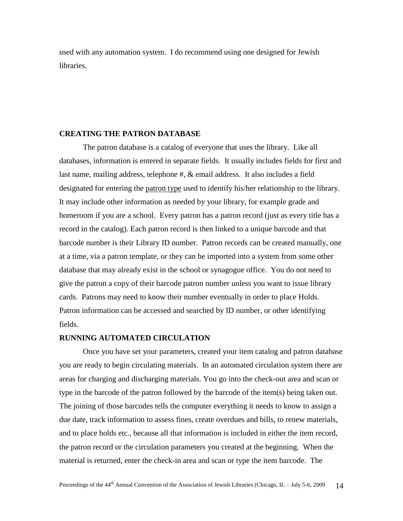used with any automation system. I do recommend using one designed for Jewish libraries.

#### **CREATING THE PATRON DATABASE**

The patron database is a catalog of everyone that uses the library. Like all databases, information is entered in separate fields. It usually includes fields for first and last name, mailing address, telephone #, & email address. It also includes a field designated for entering the patron type used to identify his/her relationship to the library. It may include other information as needed by your library, for example grade and homeroom if you are a school. Every patron has a patron record (just as every title has a record in the catalog). Each patron record is then linked to a unique barcode and that barcode number is their Library ID number. Patron records can be created manually, one at a time, via a patron template, or they can be imported into a system from some other database that may already exist in the school or synagogue office. You do not need to give the patron a copy of their barcode patron number unless you want to issue library cards. Patrons may need to know their number eventually in order to place Holds. Patron information can be accessed and searched by ID number, or other identifying fields.

#### **RUNNING AUTOMATED CIRCULATION**

Once you have set your parameters, created your item catalog and patron database you are ready to begin circulating materials. In an automated circulation system there are areas for charging and discharging materials. You go into the check-out area and scan or type in the barcode of the patron followed by the barcode of the item(s) being taken out. The joining of those barcodes tells the computer everything it needs to know to assign a due date, track information to assess fines, create overdues and bills, to renew materials, and to place holds etc., because all that information is included in either the item record, the patron record or the circulation parameters you created at the beginning. When the material is returned, enter the check-in area and scan or type the item barcode. The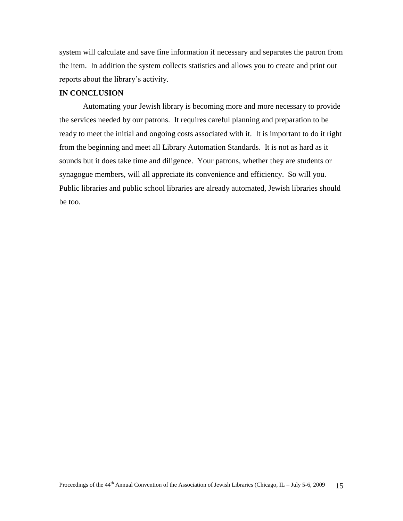system will calculate and save fine information if necessary and separates the patron from the item. In addition the system collects statistics and allows you to create and print out reports about the library's activity.

#### **IN CONCLUSION**

Automating your Jewish library is becoming more and more necessary to provide the services needed by our patrons. It requires careful planning and preparation to be ready to meet the initial and ongoing costs associated with it. It is important to do it right from the beginning and meet all Library Automation Standards. It is not as hard as it sounds but it does take time and diligence. Your patrons, whether they are students or synagogue members, will all appreciate its convenience and efficiency. So will you. Public libraries and public school libraries are already automated, Jewish libraries should be too.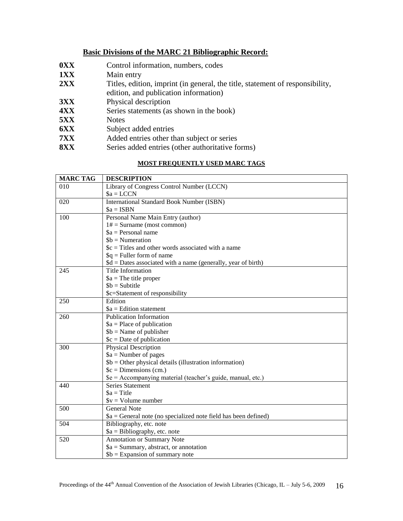#### **Basic Divisions of the MARC 21 Bibliographic Record:**

- **0XX** Control information, numbers, codes
- **1XX** Main entry
- 2XX Titles, edition, imprint (in general, the title, statement of responsibility,
- edition, and publication information)
- **3XX** Physical description
- **4XX** Series statements (as shown in the book)
- **5XX** Notes
- **6XX** Subject added entries
- **7XX** Added entries other than subject or series
- **8XX** Series added entries (other authoritative forms)

#### **MOST FREQUENTLY USED MARC TAGS**

| <b>MARC TAG</b>  | <b>DESCRIPTION</b>                                              |
|------------------|-----------------------------------------------------------------|
| 010              | Library of Congress Control Number (LCCN)                       |
|                  | $a = LCCN$                                                      |
| 020              | <b>International Standard Book Number (ISBN)</b>                |
|                  | $a = ISBN$                                                      |
| 100              | Personal Name Main Entry (author)                               |
|                  | $1# =$ Surname (most common)                                    |
|                  | $a = Personal$ name                                             |
|                  | $$b = Numeration$                                               |
|                  | $c = Titles$ and other words associated with a name             |
|                  | $q =$ Fuller form of name                                       |
|                  | $d = Dates associated with a name (generally, year of birth)$   |
| 245              | <b>Title Information</b>                                        |
|                  | $a$ = The title proper                                          |
|                  | $$b = Subtitle$                                                 |
|                  | \$c=Statement of responsibility                                 |
| 250              | Edition                                                         |
|                  | $a =$ Edition statement                                         |
| 260              | <b>Publication Information</b>                                  |
|                  | $a = Place of publication$                                      |
|                  | $$b = Name of publisher$                                        |
|                  | $c = Date of publication$                                       |
| 300              | <b>Physical Description</b>                                     |
|                  | $a =$ Number of pages                                           |
|                  | $$b = Other physical details (illustration information)$        |
|                  | $c = Dimensions$ (cm.)                                          |
|                  | \$e = Accompanying material (teacher's guide, manual, etc.)     |
| 440              | Series Statement                                                |
|                  | $a = Title$                                                     |
|                  | $V = Volume number$                                             |
| 500              | <b>General Note</b>                                             |
|                  | $a = General$ note (no specialized note field has been defined) |
| $\overline{504}$ | Bibliography, etc. note                                         |
|                  | $a = Bibliography, etc. note$                                   |
| 520              | Annotation or Summary Note                                      |
|                  | $a = Summary$ , abstract, or annotation                         |
|                  | $$b =$ Expansion of summary note                                |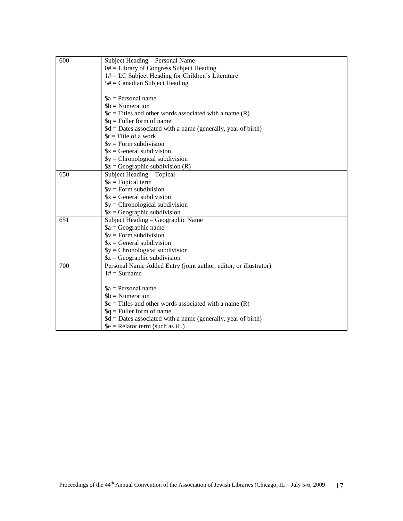| 600 | Subject Heading - Personal Name                                  |
|-----|------------------------------------------------------------------|
|     | $0#$ = Library of Congress Subject Heading                       |
|     | $1# = LC$ Subject Heading for Children's Literature              |
|     | $5# =$ Canadian Subject Heading                                  |
|     |                                                                  |
|     | $a = Personal$ name                                              |
|     | $$b = Numeration$                                                |
|     | $c = Titles$ and other words associated with a name (R)          |
|     | $q =$ Fuller form of name                                        |
|     | $d = Dates associated with a name (generally, year of birth)$    |
|     | $t =$ Title of a work                                            |
|     | $$v = Form$ subdivision                                          |
|     | $x = General$ subdivision                                        |
|     | $\$y = Chromological subdivision$                                |
|     | $$z = Geographic$ subdivision (R)                                |
| 650 | Subject Heading - Topical                                        |
|     | $a = \text{Topical term}$                                        |
|     | $V = Form$ subdivision                                           |
|     | $x = General$ subdivision                                        |
|     | $\$y = Chromological subdivision$                                |
|     | $$z = Geographic$ subdivision                                    |
| 651 | Subject Heading - Geographic Name                                |
|     | $a = Geographic$ name                                            |
|     | $$v = Form$ subdivision                                          |
|     | $x = General$ subdivision                                        |
|     | $\$y =$ Chronological subdivision                                |
|     | $$z = Geographic$ subdivision                                    |
| 700 | Personal Name Added Entry (joint author, editor, or illustrator) |
|     | $1# =$ Surname                                                   |
|     |                                                                  |
|     | $a = Personal$ name                                              |
|     | $$b = Numeration$                                                |
|     | $c = Titles$ and other words associated with a name (R)          |
|     | $q =$ Fuller form of name                                        |
|     | $d = Dates associated with a name (generally, year of birth)$    |
|     | $\mathcal{S}e =$ Relator term (such as ill.)                     |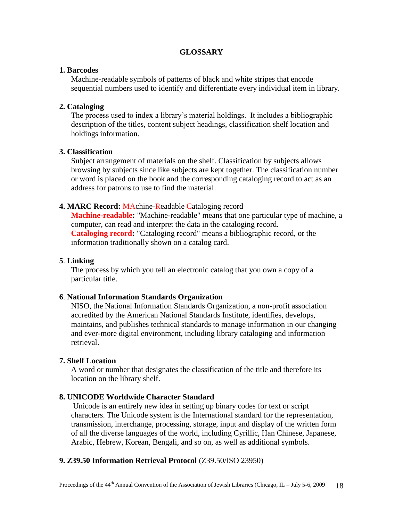#### **GLOSSARY**

#### **1. Barcodes**

Machine-readable symbols of patterns of black and white stripes that encode sequential numbers used to identify and differentiate every individual item in library.

#### **2. Cataloging**

The process used to index a library"s material holdings. It includes a bibliographic description of the titles, content subject headings, classification shelf location and holdings information.

#### **3. Classification**

Subject arrangement of materials on the shelf. Classification by subjects allows browsing by subjects since like subjects are kept together. The classification number or word is placed on the book and the corresponding cataloging record to act as an address for patrons to use to find the material.

#### **4. MARC Record:** MAchine-Readable Cataloging record

**Machine-readable:** "Machine-readable" means that one particular type of machine, a computer, can read and interpret the data in the cataloging record. **Cataloging record:** "Cataloging record" means a bibliographic record, or the information traditionally shown on a catalog card.

#### **5**. **Linking**

The process by which you tell an electronic catalog that you own a copy of a particular title.

#### **6**. **National Information Standards Organization**

NISO, the National Information Standards Organization, a non-profit association accredited by the American National Standards Institute, identifies, develops, maintains, and publishes technical standards to manage information in our changing and ever-more digital environment, including library cataloging and information retrieval.

#### **7. Shelf Location**

A word or number that designates the classification of the title and therefore its location on the library shelf.

#### **8. UNICODE Worldwide Character Standard**

Unicode is an entirely new idea in setting up binary codes for text or script characters. The Unicode system is the International standard for the representation, transmission, interchange, processing, storage, input and display of the written form of all the diverse languages of the world, including Cyrillic, Han Chinese, Japanese, Arabic, Hebrew, Korean, Bengali, and so on, as well as additional symbols.

#### **9. Z39.50 Information Retrieval Protocol** (Z39.50/ISO 23950)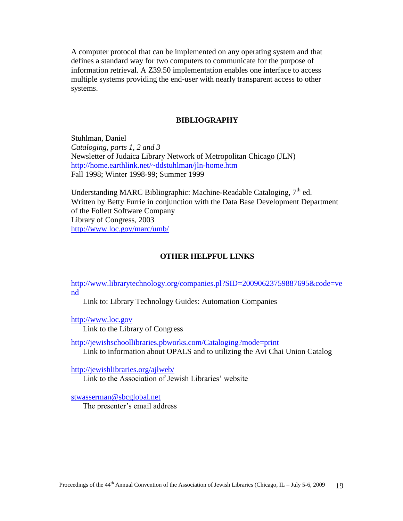A computer protocol that can be implemented on any operating system and that defines a standard way for two computers to communicate for the purpose of information retrieval. A Z39.50 implementation enables one interface to access multiple systems providing the end-user with nearly transparent access to other systems.

#### **BIBLIOGRAPHY**

Stuhlman, Daniel *Cataloging, parts 1, 2 and 3* Newsletter of Judaica Library Network of Metropolitan Chicago (JLN) <http://home.earthlink.net/~ddstuhlman/jln-home.htm> Fall 1998; Winter 1998-99; Summer 1999

Understanding MARC Bibliographic: Machine-Readable Cataloging,  $7<sup>th</sup>$  ed. Written by Betty Furrie in conjunction with the Data Base Development Department of the Follett Software Company Library of Congress, 2003 <http://www.loc.gov/marc/umb/>

#### **OTHER HELPFUL LINKS**

[http://www.librarytechnology.org/companies.pl?SID=20090623759887695&code=ve](http://www.librarytechnology.org/companies.pl?SID=20090623759887695&code=vend) [nd](http://www.librarytechnology.org/companies.pl?SID=20090623759887695&code=vend)

Link to: Library Technology Guides: Automation Companies

[http://www.loc.gov](http://www.loc.gov/)

Link to the Library of Congress

<http://jewishschoollibraries.pbworks.com/Cataloging?mode=print> Link to information about OPALS and to utilizing the Avi Chai Union Catalog

<http://jewishlibraries.org/ajlweb/>

Link to the Association of Jewish Libraries" website

[stwasserman@sbcglobal.net](mailto:stwasserman@sbcglobal.net)

The presenter's email address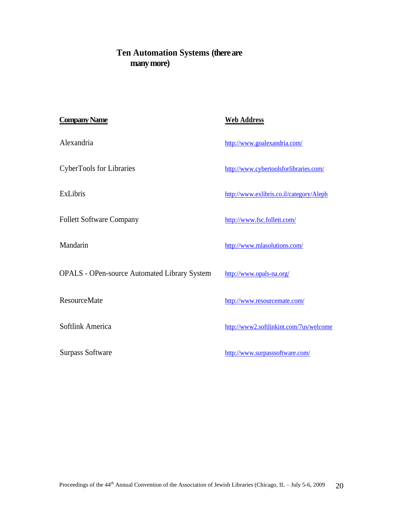## **Ten Automation Systems (there are many more)**

| <b>Company Name</b>                                 | <b>Web Address</b>                       |
|-----------------------------------------------------|------------------------------------------|
| Alexandria                                          | http://www.goalexandria.com/             |
| <b>CyberTools for Libraries</b>                     | http://www.cybertoolsforlibraries.com/   |
| <b>ExLibris</b>                                     | http://www.exlibris.co.il/category/Aleph |
| <b>Follett Software Company</b>                     | http://www.fsc.follett.com/              |
| Mandarin                                            | http://www.mlasolutions.com/             |
| <b>OPALS</b> - OPen-source Automated Library System | http://www.opals-na.org/                 |
| <b>ResourceMate</b>                                 | http://www.resourcemate.com/             |
| Softlink America                                    | http://www2.softlinkint.com/7us/welcome  |
| <b>Surpass Software</b>                             | http://www.surpasssoftware.com/          |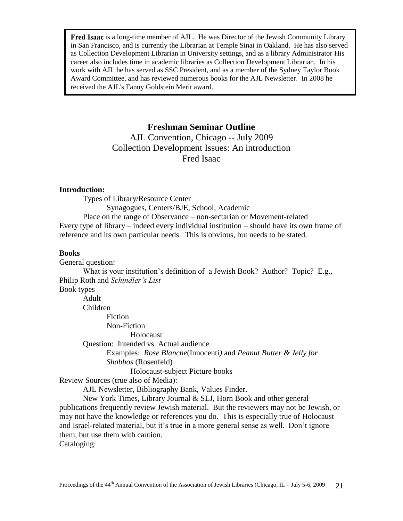Fred Isaac is a long-time member of AJL. He was Director of the Jewish Community Library in San Francisco, and is currently the Librarian at Temple Sinai in Oakland. He has also served as Collection Development Librarian in University settings, and as a library Administrator His career also includes time in academic libraries as Collection Development Librarian. In his work with AJL he has served as SSC President, and as a member of the Sydney Taylor Book Award Committee, and has reviewed numerous books for the AJL Newsletter. In 2008 he received the AJL's Fanny Goldstein Merit award.

## **Freshman Seminar Outline**

AJL Convention, Chicago -- July 2009 Collection Development Issues: An introduction Fred Isaac

#### **Introduction:**

Types of Library/Resource Center Synagogues, Centers/BJE, School, Academic Place on the range of Observance – non-sectarian or Movement-related Every type of library – indeed every individual institution – should have its own frame of reference and its own particular needs. This is obvious, but needs to be stated.

#### **Books**

General question: What is your institution"s definition of a Jewish Book? Author? Topic? E.g., Philip Roth and *Schindler's List* Book types Adult Children Fiction Non-Fiction Holocaust Question: Intended vs. Actual audience. Examples: *Rose Blanche*(Innocenti*)* and *Peanut Butter & Jelly for Shabbos* (Rosenfeld) Holocaust-subject Picture books Review Sources (true also of Media): AJL Newsletter, Bibliography Bank, Values Finder. New York Times, Library Journal & SLJ, Horn Book and other general publications frequently review Jewish material. But the reviewers may not be Jewish, or may not have the knowledge or references you do. This is especially true of Holocaust

and Israel-related material, but it's true in a more general sense as well. Don't ignore them, but use them with caution.

Cataloging: